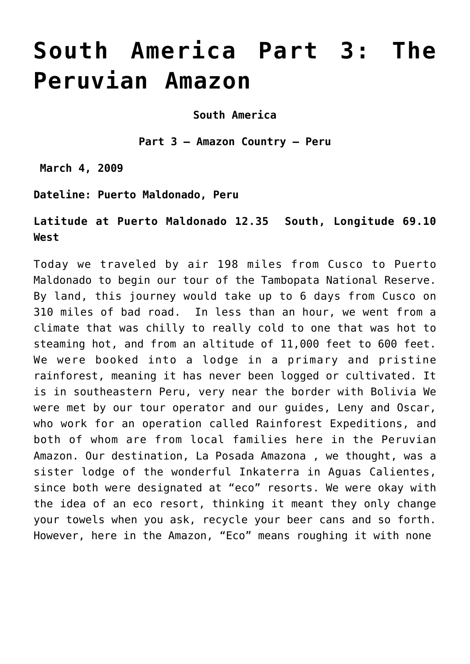# **[South America Part 3: The](https://thewanderingstar.net/south-america-part-3-the-peruvian-amazon/) [Peruvian Amazon](https://thewanderingstar.net/south-america-part-3-the-peruvian-amazon/)**

**South America**

**Part 3 – Amazon Country – Peru**

**March 4, 2009**

**Dateline: Puerto Maldonado, Peru**

**Latitude at Puerto Maldonado 12.35 South, Longitude 69.10 West**

Today we traveled by air 198 miles from Cusco to Puerto Maldonado to begin our tour of the Tambopata National Reserve. By land, this journey would take up to 6 days from Cusco on 310 miles of bad road. In less than an hour, we went from a climate that was chilly to really cold to one that was hot to steaming hot, and from an altitude of 11,000 feet to 600 feet. We were booked into a lodge in a primary and pristine rainforest, meaning it has never been logged or cultivated. It is in southeastern Peru, very near the border with Bolivia We were met by our tour operator and our guides, Leny and Oscar, who work for an operation called Rainforest Expeditions, and both of whom are from local families here in the Peruvian Amazon. Our destination, La Posada Amazona , we thought, was a sister lodge of the wonderful Inkaterra in Aguas Calientes, since both were designated at "eco" resorts. We were okay with the idea of an eco resort, thinking it meant they only change your towels when you ask, recycle your beer cans and so forth. However, here in the Amazon, "Eco" means roughing it with none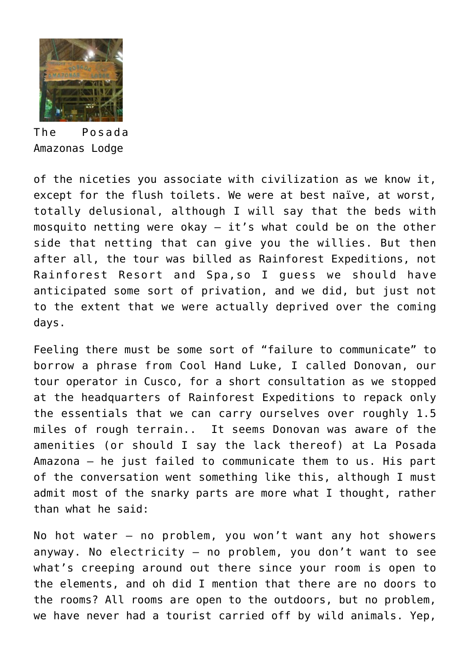

The Posada Amazonas Lodge

of the niceties you associate with civilization as we know it, except for the flush toilets. We were at best naïve, at worst, totally delusional, although I will say that the beds with mosquito netting were okay – it's what could be on the other side that netting that can give you the willies. But then after all, the tour was billed as Rainforest Expeditions, not Rainforest Resort and Spa,so I guess we should have anticipated some sort of privation, and we did, but just not to the extent that we were actually deprived over the coming days.

Feeling there must be some sort of "failure to communicate" to borrow a phrase from Cool Hand Luke, I called Donovan, our tour operator in Cusco, for a short consultation as we stopped at the headquarters of Rainforest Expeditions to repack only the essentials that we can carry ourselves over roughly 1.5 miles of rough terrain.. It seems Donovan was aware of the amenities (or should I say the lack thereof) at La Posada Amazona – he just failed to communicate them to us. His part of the conversation went something like this, although I must admit most of the snarky parts are more what I thought, rather than what he said:

No hot water – no problem, you won't want any hot showers anyway. No electricity – no problem, you don't want to see what's creeping around out there since your room is open to the elements, and oh did I mention that there are no doors to the rooms? All rooms are open to the outdoors, but no problem, we have never had a tourist carried off by wild animals. Yep,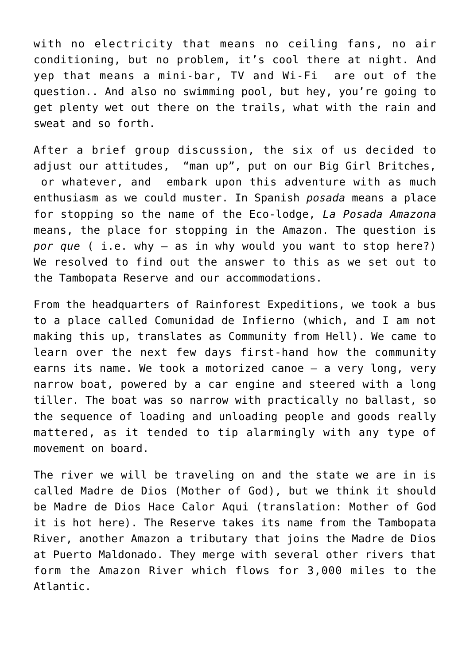with no electricity that means no ceiling fans, no air conditioning, but no problem, it's cool there at night. And yep that means a mini-bar, TV and Wi-Fi are out of the question.. And also no swimming pool, but hey, you're going to get plenty wet out there on the trails, what with the rain and sweat and so forth.

After a brief group discussion, the six of us decided to adjust our attitudes, "man up", put on our Big Girl Britches, or whatever, and embark upon this adventure with as much enthusiasm as we could muster. In Spanish *posada* means a place for stopping so the name of the Eco-lodge, *La Posada Amazona* means, the place for stopping in the Amazon. The question is *por que* ( i.e. why – as in why would you want to stop here?) We resolved to find out the answer to this as we set out to the Tambopata Reserve and our accommodations.

From the headquarters of Rainforest Expeditions, we took a bus to a place called Comunidad de Infierno (which, and I am not making this up, translates as Community from Hell). We came to learn over the next few days first-hand how the community earns its name. We took a motorized canoe – a very long, very narrow boat, powered by a car engine and steered with a long tiller. The boat was so narrow with practically no ballast, so the sequence of loading and unloading people and goods really mattered, as it tended to tip alarmingly with any type of movement on board.

The river we will be traveling on and the state we are in is called Madre de Dios (Mother of God), but we think it should be Madre de Dios Hace Calor Aqui (translation: Mother of God it is hot here). The Reserve takes its name from the Tambopata River, another Amazon a tributary that joins the Madre de Dios at Puerto Maldonado. They merge with several other rivers that form the Amazon River which flows for 3,000 miles to the Atlantic.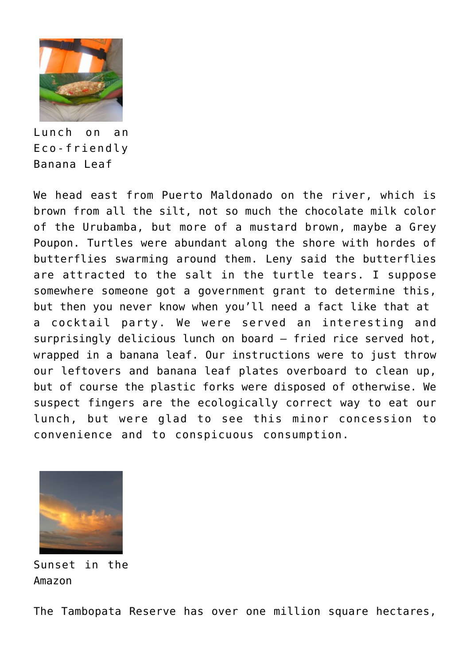

Lunch on an Eco-friendly Banana Leaf

We head east from Puerto Maldonado on the river, which is brown from all the silt, not so much the chocolate milk color of the Urubamba, but more of a mustard brown, maybe a Grey Poupon. Turtles were abundant along the shore with hordes of butterflies swarming around them. Leny said the butterflies are attracted to the salt in the turtle tears. I suppose somewhere someone got a government grant to determine this, but then you never know when you'll need a fact like that at a cocktail party. We were served an interesting and surprisingly delicious lunch on board – fried rice served hot, wrapped in a banana leaf. Our instructions were to just throw our leftovers and banana leaf plates overboard to clean up, but of course the plastic forks were disposed of otherwise. We suspect fingers are the ecologically correct way to eat our lunch, but were glad to see this minor concession to convenience and to conspicuous consumption.



Sunset in the Amazon

The Tambopata Reserve has over one million square hectares,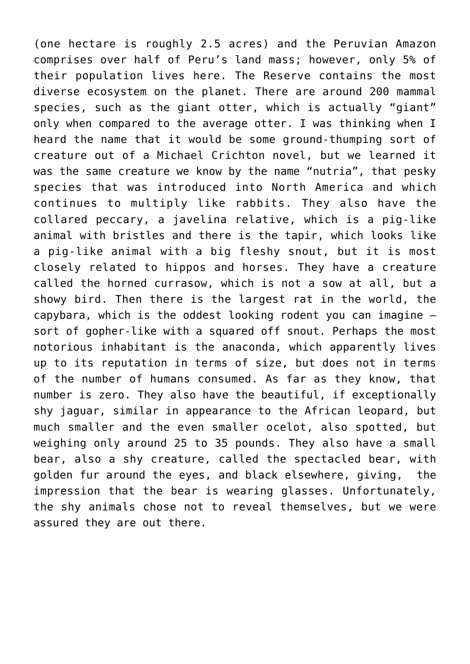(one hectare is roughly 2.5 acres) and the Peruvian Amazon comprises over half of Peru's land mass; however, only 5% of their population lives here. The Reserve contains the most diverse ecosystem on the planet. There are around 200 mammal species, such as the giant otter, which is actually "giant" only when compared to the average otter. I was thinking when I heard the name that it would be some ground-thumping sort of creature out of a Michael Crichton novel, but we learned it was the same creature we know by the name "nutria", that pesky species that was introduced into North America and which continues to multiply like rabbits. They also have the collared peccary, a javelina relative, which is a pig-like animal with bristles and there is the tapir, which looks like a pig-like animal with a big fleshy snout, but it is most closely related to hippos and horses. They have a creature called the horned currasow, which is not a sow at all, but a showy bird. Then there is the largest rat in the world, the capybara, which is the oddest looking rodent you can imagine – sort of gopher-like with a squared off snout. Perhaps the most notorious inhabitant is the anaconda, which apparently lives up to its reputation in terms of size, but does not in terms of the number of humans consumed. As far as they know, that number is zero. They also have the beautiful, if exceptionally shy jaguar, similar in appearance to the African leopard, but much smaller and the even smaller ocelot, also spotted, but weighing only around 25 to 35 pounds. They also have a small bear, also a shy creature, called the spectacled bear, with golden fur around the eyes, and black elsewhere, giving, the impression that the bear is wearing glasses. Unfortunately, the shy animals chose not to reveal themselves, but we were assured they are out there.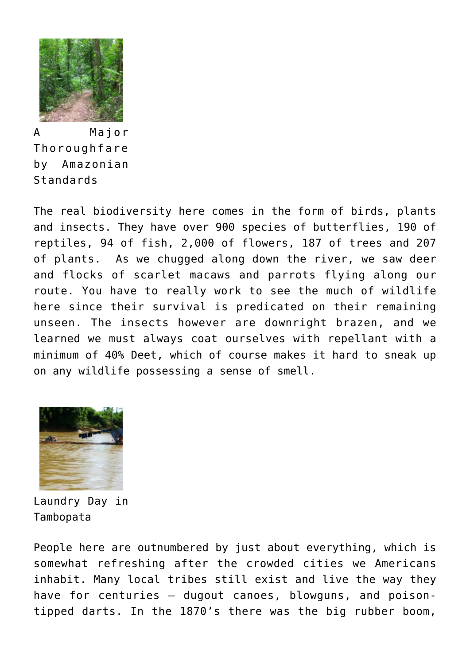

A Major Thoroughfare by Amazonian Standards

The real biodiversity here comes in the form of birds, plants and insects. They have over 900 species of butterflies, 190 of reptiles, 94 of fish, 2,000 of flowers, 187 of trees and 207 of plants. As we chugged along down the river, we saw deer and flocks of scarlet macaws and parrots flying along our route. You have to really work to see the much of wildlife here since their survival is predicated on their remaining unseen. The insects however are downright brazen, and we learned we must always coat ourselves with repellant with a minimum of 40% Deet, which of course makes it hard to sneak up on any wildlife possessing a sense of smell.



Laundry Day in Tambopata

People here are outnumbered by just about everything, which is somewhat refreshing after the crowded cities we Americans inhabit. Many local tribes still exist and live the way they have for centuries – dugout canoes, blowguns, and poisontipped darts. In the 1870's there was the big rubber boom,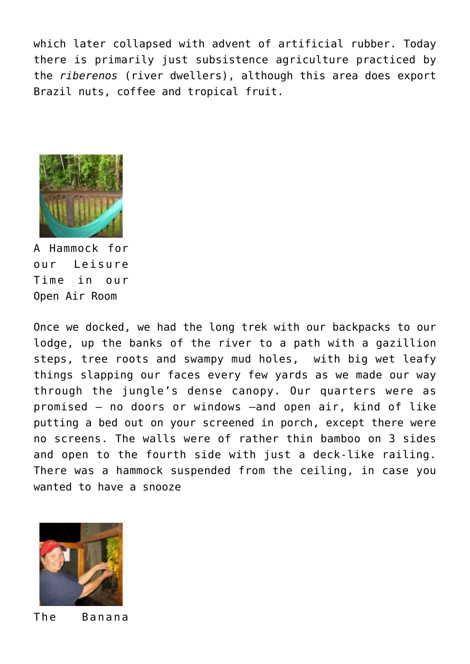which later collapsed with advent of artificial rubber. Today there is primarily just subsistence agriculture practiced by the *riberenos* (river dwellers), although this area does export Brazil nuts, coffee and tropical fruit.



A Hammock for our Leisure Time in our Open Air Room

Once we docked, we had the long trek with our backpacks to our lodge, up the banks of the river to a path with a gazillion steps, tree roots and swampy mud holes, with big wet leafy things slapping our faces every few yards as we made our way through the jungle's dense canopy. Our quarters were as promised – no doors or windows –and open air, kind of like putting a bed out on your screened in porch, except there were no screens. The walls were of rather thin bamboo on 3 sides and open to the fourth side with just a deck-like railing. There was a hammock suspended from the ceiling, in case you wanted to have a snooze



The Banana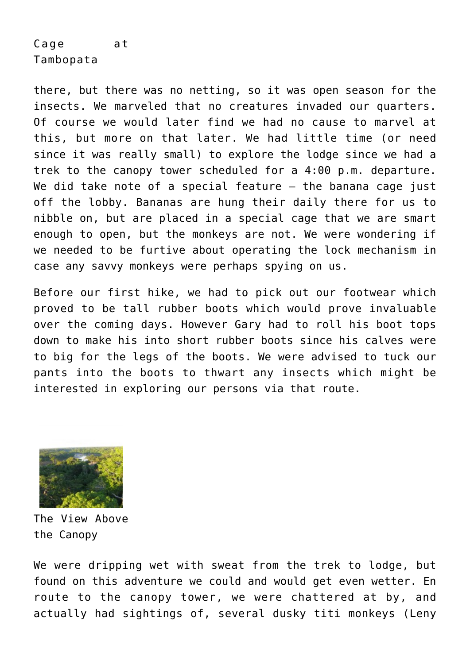## Cage at Tambopata

there, but there was no netting, so it was open season for the insects. We marveled that no creatures invaded our quarters. Of course we would later find we had no cause to marvel at this, but more on that later. We had little time (or need since it was really small) to explore the lodge since we had a trek to the canopy tower scheduled for a 4:00 p.m. departure. We did take note of a special feature – the banana cage just off the lobby. Bananas are hung their daily there for us to nibble on, but are placed in a special cage that we are smart enough to open, but the monkeys are not. We were wondering if we needed to be furtive about operating the lock mechanism in case any savvy monkeys were perhaps spying on us.

Before our first hike, we had to pick out our footwear which proved to be tall rubber boots which would prove invaluable over the coming days. However Gary had to roll his boot tops down to make his into short rubber boots since his calves were to big for the legs of the boots. We were advised to tuck our pants into the boots to thwart any insects which might be interested in exploring our persons via that route.



The View Above the Canopy

We were dripping wet with sweat from the trek to lodge, but found on this adventure we could and would get even wetter. En route to the canopy tower, we were chattered at by, and actually had sightings of, several dusky titi monkeys (Leny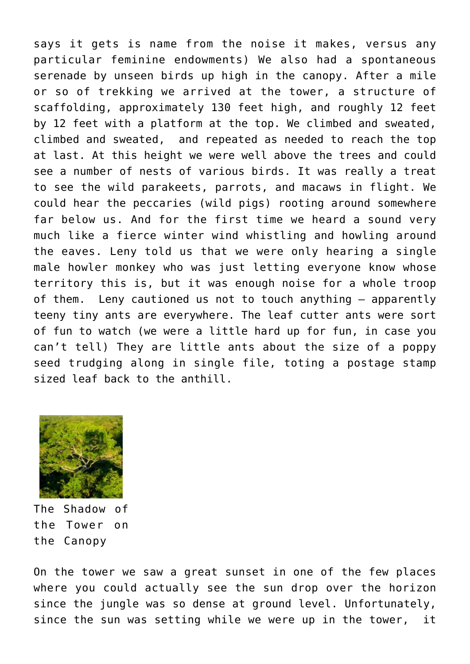says it gets is name from the noise it makes, versus any particular feminine endowments) We also had a spontaneous serenade by unseen birds up high in the canopy. After a mile or so of trekking we arrived at the tower, a structure of scaffolding, approximately 130 feet high, and roughly 12 feet by 12 feet with a platform at the top. We climbed and sweated, climbed and sweated, and repeated as needed to reach the top at last. At this height we were well above the trees and could see a number of nests of various birds. It was really a treat to see the wild parakeets, parrots, and macaws in flight. We could hear the peccaries (wild pigs) rooting around somewhere far below us. And for the first time we heard a sound very much like a fierce winter wind whistling and howling around the eaves. Leny told us that we were only hearing a single male howler monkey who was just letting everyone know whose territory this is, but it was enough noise for a whole troop of them. Leny cautioned us not to touch anything – apparently teeny tiny ants are everywhere. The leaf cutter ants were sort of fun to watch (we were a little hard up for fun, in case you can't tell) They are little ants about the size of a poppy seed trudging along in single file, toting a postage stamp sized leaf back to the anthill.



The Shadow of the Tower on the Canopy

On the tower we saw a great sunset in one of the few places where you could actually see the sun drop over the horizon since the jungle was so dense at ground level. Unfortunately, since the sun was setting while we were up in the tower, it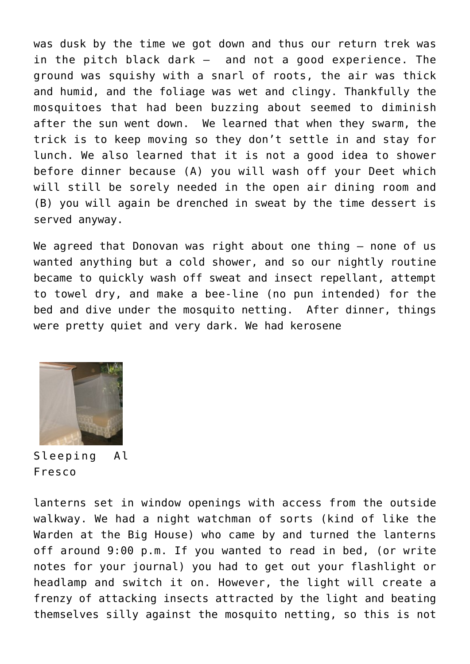was dusk by the time we got down and thus our return trek was in the pitch black dark – and not a good experience. The ground was squishy with a snarl of roots, the air was thick and humid, and the foliage was wet and clingy. Thankfully the mosquitoes that had been buzzing about seemed to diminish after the sun went down. We learned that when they swarm, the trick is to keep moving so they don't settle in and stay for lunch. We also learned that it is not a good idea to shower before dinner because (A) you will wash off your Deet which will still be sorely needed in the open air dining room and (B) you will again be drenched in sweat by the time dessert is served anyway.

We agreed that Donovan was right about one thing - none of us wanted anything but a cold shower, and so our nightly routine became to quickly wash off sweat and insect repellant, attempt to towel dry, and make a bee-line (no pun intended) for the bed and dive under the mosquito netting. After dinner, things were pretty quiet and very dark. We had kerosene



Sleeping Al Fresco

lanterns set in window openings with access from the outside walkway. We had a night watchman of sorts (kind of like the Warden at the Big House) who came by and turned the lanterns off around 9:00 p.m. If you wanted to read in bed, (or write notes for your journal) you had to get out your flashlight or headlamp and switch it on. However, the light will create a frenzy of attacking insects attracted by the light and beating themselves silly against the mosquito netting, so this is not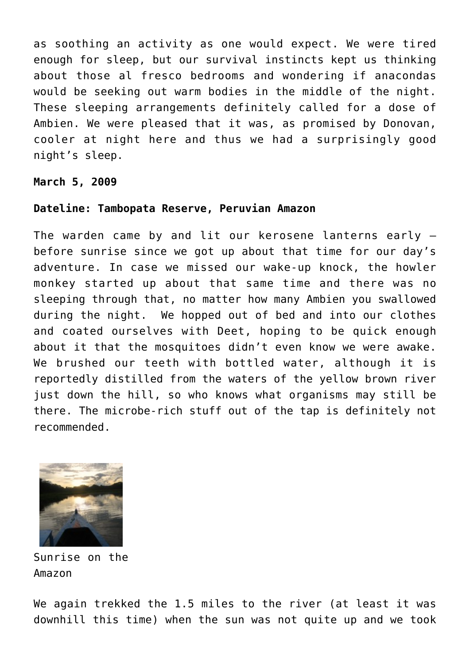as soothing an activity as one would expect. We were tired enough for sleep, but our survival instincts kept us thinking about those al fresco bedrooms and wondering if anacondas would be seeking out warm bodies in the middle of the night. These sleeping arrangements definitely called for a dose of Ambien. We were pleased that it was, as promised by Donovan, cooler at night here and thus we had a surprisingly good night's sleep.

#### **March 5, 2009**

#### **Dateline: Tambopata Reserve, Peruvian Amazon**

The warden came by and lit our kerosene lanterns early – before sunrise since we got up about that time for our day's adventure. In case we missed our wake-up knock, the howler monkey started up about that same time and there was no sleeping through that, no matter how many Ambien you swallowed during the night. We hopped out of bed and into our clothes and coated ourselves with Deet, hoping to be quick enough about it that the mosquitoes didn't even know we were awake. We brushed our teeth with bottled water, although it is reportedly distilled from the waters of the yellow brown river just down the hill, so who knows what organisms may still be there. The microbe-rich stuff out of the tap is definitely not recommended.



Sunrise on the Amazon

We again trekked the 1.5 miles to the river (at least it was downhill this time) when the sun was not quite up and we took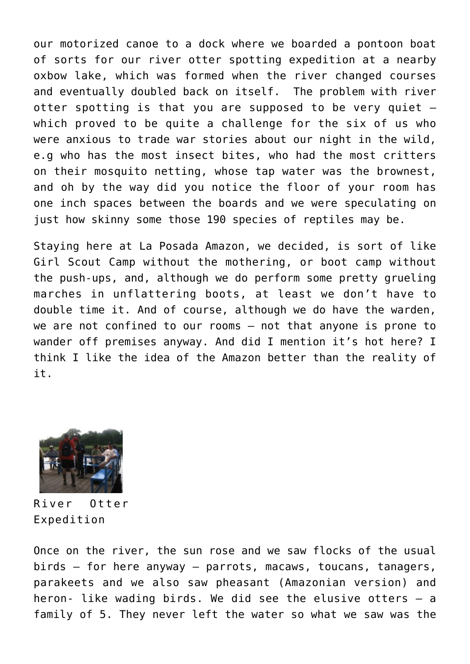our motorized canoe to a dock where we boarded a pontoon boat of sorts for our river otter spotting expedition at a nearby oxbow lake, which was formed when the river changed courses and eventually doubled back on itself. The problem with river otter spotting is that you are supposed to be very quiet – which proved to be quite a challenge for the six of us who were anxious to trade war stories about our night in the wild, e.g who has the most insect bites, who had the most critters on their mosquito netting, whose tap water was the brownest, and oh by the way did you notice the floor of your room has one inch spaces between the boards and we were speculating on just how skinny some those 190 species of reptiles may be.

Staying here at La Posada Amazon, we decided, is sort of like Girl Scout Camp without the mothering, or boot camp without the push-ups, and, although we do perform some pretty grueling marches in unflattering boots, at least we don't have to double time it. And of course, although we do have the warden, we are not confined to our rooms – not that anyone is prone to wander off premises anyway. And did I mention it's hot here? I think I like the idea of the Amazon better than the reality of it.



River Otter Expedition

Once on the river, the sun rose and we saw flocks of the usual birds – for here anyway – parrots, macaws, toucans, tanagers, parakeets and we also saw pheasant (Amazonian version) and heron- like wading birds. We did see the elusive otters – a family of 5. They never left the water so what we saw was the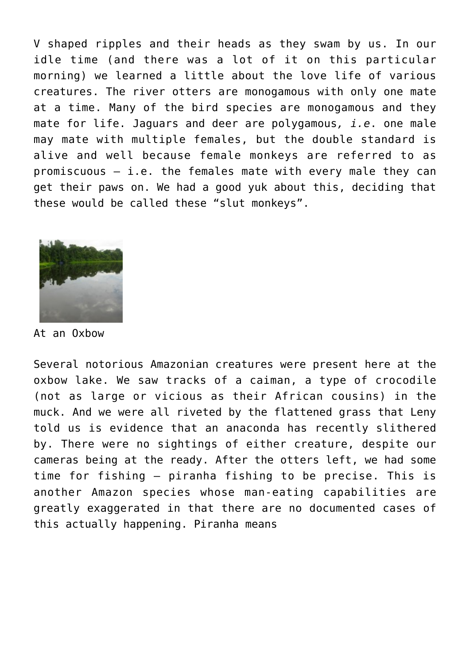V shaped ripples and their heads as they swam by us. In our idle time (and there was a lot of it on this particular morning) we learned a little about the love life of various creatures. The river otters are monogamous with only one mate at a time. Many of the bird species are monogamous and they mate for life. Jaguars and deer are polygamous*, i.e*. one male may mate with multiple females, but the double standard is alive and well because female monkeys are referred to as promiscuous – i.e. the females mate with every male they can get their paws on. We had a good yuk about this, deciding that these would be called these "slut monkeys".



At an Oxbow

Several notorious Amazonian creatures were present here at the oxbow lake. We saw tracks of a caiman, a type of crocodile (not as large or vicious as their African cousins) in the muck. And we were all riveted by the flattened grass that Leny told us is evidence that an anaconda has recently slithered by. There were no sightings of either creature, despite our cameras being at the ready. After the otters left, we had some time for fishing – piranha fishing to be precise. This is another Amazon species whose man-eating capabilities are greatly exaggerated in that there are no documented cases of this actually happening. Piranha means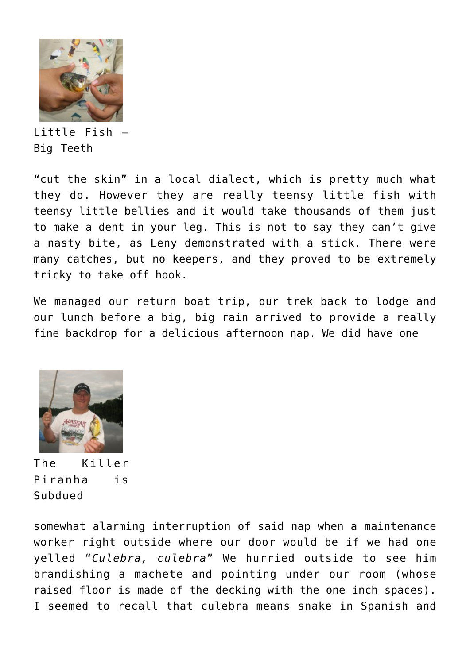

Little Fish – Big Teeth

"cut the skin" in a local dialect, which is pretty much what they do. However they are really teensy little fish with teensy little bellies and it would take thousands of them just to make a dent in your leg. This is not to say they can't give a nasty bite, as Leny demonstrated with a stick. There were many catches, but no keepers, and they proved to be extremely tricky to take off hook.

We managed our return boat trip, our trek back to lodge and our lunch before a big, big rain arrived to provide a really fine backdrop for a delicious afternoon nap. We did have one



The Killer Piranha is Subdued

somewhat alarming interruption of said nap when a maintenance worker right outside where our door would be if we had one yelled "*Culebra, culebra*" We hurried outside to see him brandishing a machete and pointing under our room (whose raised floor is made of the decking with the one inch spaces). I seemed to recall that culebra means snake in Spanish and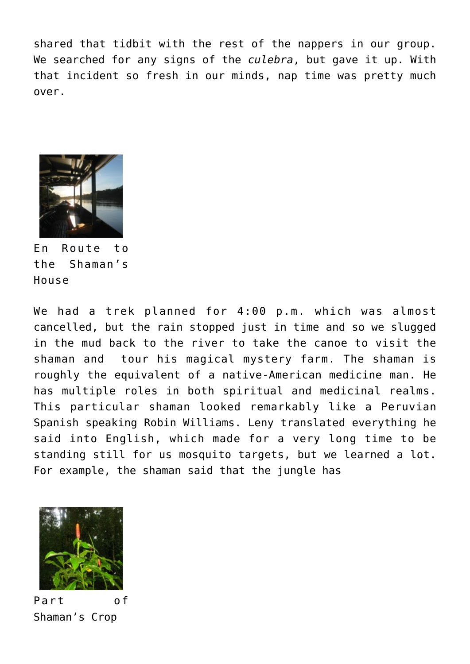shared that tidbit with the rest of the nappers in our group. We searched for any signs of the *culebra*, but gave it up. With that incident so fresh in our minds, nap time was pretty much over.



En Route to the Shaman's House

We had a trek planned for 4:00 p.m. which was almost cancelled, but the rain stopped just in time and so we slugged in the mud back to the river to take the canoe to visit the shaman and tour his magical mystery farm. The shaman is roughly the equivalent of a native-American medicine man. He has multiple roles in both spiritual and medicinal realms. This particular shaman looked remarkably like a Peruvian Spanish speaking Robin Williams. Leny translated everything he said into English, which made for a very long time to be standing still for us mosquito targets, but we learned a lot. For example, the shaman said that the jungle has



Part of Shaman's Crop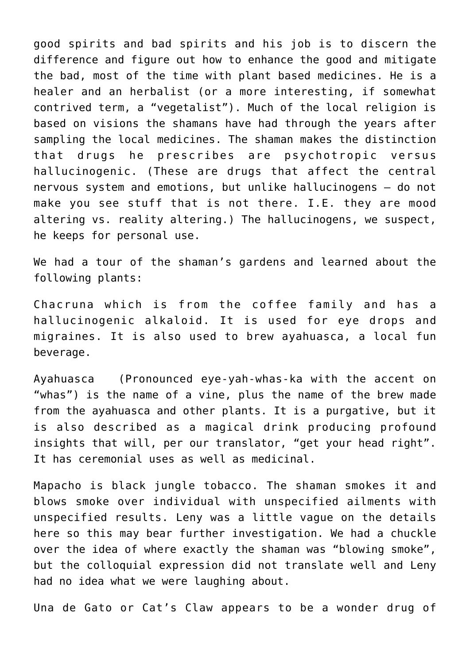good spirits and bad spirits and his job is to discern the difference and figure out how to enhance the good and mitigate the bad, most of the time with plant based medicines. He is a healer and an herbalist (or a more interesting, if somewhat contrived term, a "vegetalist"). Much of the local religion is based on visions the shamans have had through the years after sampling the local medicines. The shaman makes the distinction that drugs he prescribes are psychotropic versus hallucinogenic. (These are drugs that affect the central nervous system and emotions, but unlike hallucinogens – do not make you see stuff that is not there. I.E. they are mood altering vs. reality altering.) The hallucinogens, we suspect, he keeps for personal use.

We had a tour of the shaman's gardens and learned about the following plants:

Chacruna which is from the coffee family and has a hallucinogenic alkaloid. It is used for eye drops and migraines. It is also used to brew ayahuasca, a local fun beverage.

Ayahuasca (Pronounced eye-yah-whas-ka with the accent on "whas") is the name of a vine, plus the name of the brew made from the ayahuasca and other plants. It is a purgative, but it is also described as a magical drink producing profound insights that will, per our translator, "get your head right". It has ceremonial uses as well as medicinal.

Mapacho is black jungle tobacco. The shaman smokes it and blows smoke over individual with unspecified ailments with unspecified results. Leny was a little vague on the details here so this may bear further investigation. We had a chuckle over the idea of where exactly the shaman was "blowing smoke", but the colloquial expression did not translate well and Leny had no idea what we were laughing about.

Una de Gato or Cat's Claw appears to be a wonder drug of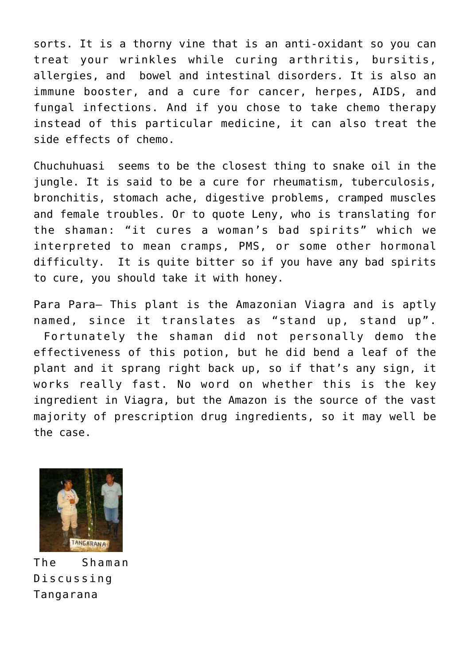sorts. It is a thorny vine that is an anti-oxidant so you can treat your wrinkles while curing arthritis, bursitis, allergies, and bowel and intestinal disorders. It is also an immune booster, and a cure for cancer, herpes, AIDS, and fungal infections. And if you chose to take chemo therapy instead of this particular medicine, it can also treat the side effects of chemo.

Chuchuhuasi seems to be the closest thing to snake oil in the jungle. It is said to be a cure for rheumatism, tuberculosis, bronchitis, stomach ache, digestive problems, cramped muscles and female troubles. Or to quote Leny, who is translating for the shaman: "it cures a woman's bad spirits" which we interpreted to mean cramps, PMS, or some other hormonal difficulty. It is quite bitter so if you have any bad spirits to cure, you should take it with honey.

Para Para– This plant is the Amazonian Viagra and is aptly named, since it translates as "stand up, stand up". Fortunately the shaman did not personally demo the effectiveness of this potion, but he did bend a leaf of the plant and it sprang right back up, so if that's any sign, it works really fast. No word on whether this is the key ingredient in Viagra, but the Amazon is the source of the vast majority of prescription drug ingredients, so it may well be the case.



The Shaman Discussing Tangarana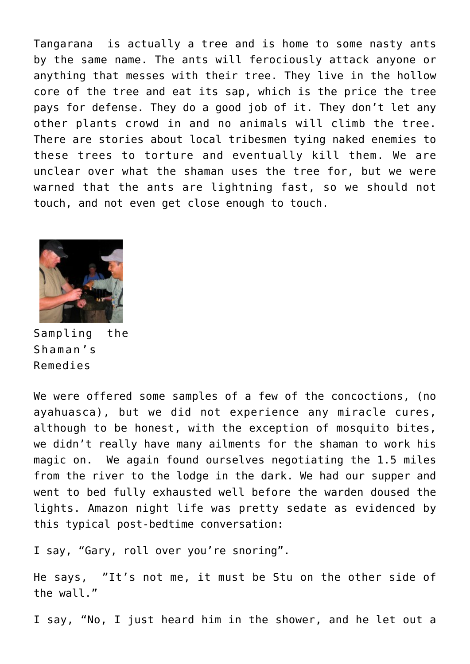Tangarana is actually a tree and is home to some nasty ants by the same name. The ants will ferociously attack anyone or anything that messes with their tree. They live in the hollow core of the tree and eat its sap, which is the price the tree pays for defense. They do a good job of it. They don't let any other plants crowd in and no animals will climb the tree. There are stories about local tribesmen tying naked enemies to these trees to torture and eventually kill them. We are unclear over what the shaman uses the tree for, but we were warned that the ants are lightning fast, so we should not touch, and not even get close enough to touch.



Sampling the Shaman's Remedies

We were offered some samples of a few of the concoctions, (no ayahuasca), but we did not experience any miracle cures, although to be honest, with the exception of mosquito bites, we didn't really have many ailments for the shaman to work his magic on. We again found ourselves negotiating the 1.5 miles from the river to the lodge in the dark. We had our supper and went to bed fully exhausted well before the warden doused the lights. Amazon night life was pretty sedate as evidenced by this typical post-bedtime conversation:

I say, "Gary, roll over you're snoring".

He says, "It's not me, it must be Stu on the other side of the wall."

I say, "No, I just heard him in the shower, and he let out a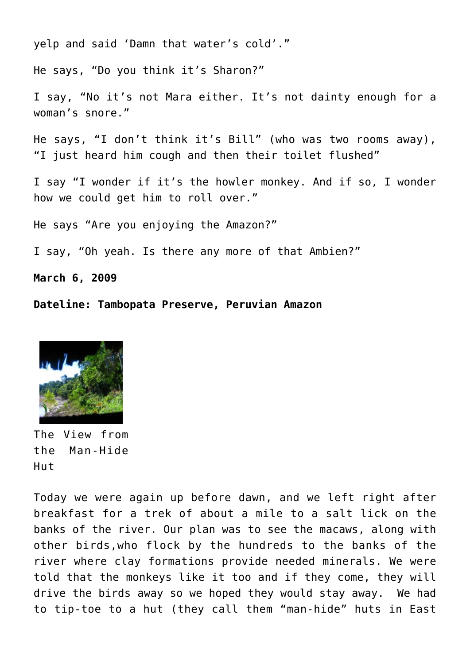yelp and said 'Damn that water's cold'."

He says, "Do you think it's Sharon?"

I say, "No it's not Mara either. It's not dainty enough for a woman's snore."

He says, "I don't think it's Bill" (who was two rooms away), "I just heard him cough and then their toilet flushed"

I say "I wonder if it's the howler monkey. And if so, I wonder how we could get him to roll over."

He says "Are you enjoying the Amazon?"

I say, "Oh yeah. Is there any more of that Ambien?"

**March 6, 2009**

**Dateline: Tambopata Preserve, Peruvian Amazon**



The View from the Man-Hide Hut

Today we were again up before dawn, and we left right after breakfast for a trek of about a mile to a salt lick on the banks of the river. Our plan was to see the macaws, along with other birds,who flock by the hundreds to the banks of the river where clay formations provide needed minerals. We were told that the monkeys like it too and if they come, they will drive the birds away so we hoped they would stay away. We had to tip-toe to a hut (they call them "man-hide" huts in East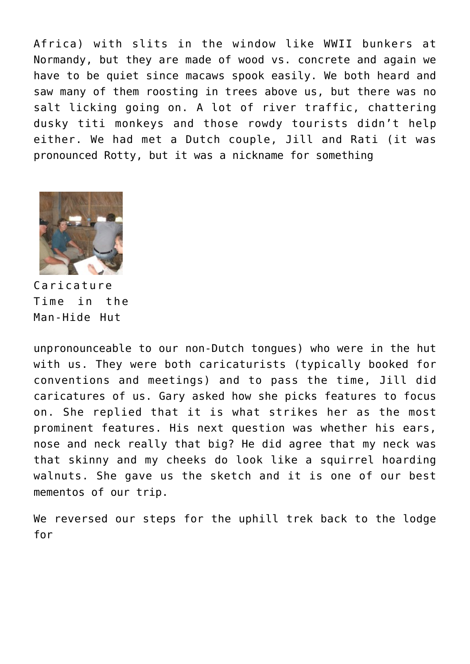Africa) with slits in the window like WWII bunkers at Normandy, but they are made of wood vs. concrete and again we have to be quiet since macaws spook easily. We both heard and saw many of them roosting in trees above us, but there was no salt licking going on. A lot of river traffic, chattering dusky titi monkeys and those rowdy tourists didn't help either. We had met a Dutch couple, Jill and Rati (it was pronounced Rotty, but it was a nickname for something



Caricature Time in the Man-Hide Hut

unpronounceable to our non-Dutch tongues) who were in the hut with us. They were both caricaturists (typically booked for conventions and meetings) and to pass the time, Jill did caricatures of us. Gary asked how she picks features to focus on. She replied that it is what strikes her as the most prominent features. His next question was whether his ears, nose and neck really that big? He did agree that my neck was that skinny and my cheeks do look like a squirrel hoarding walnuts. She gave us the sketch and it is one of our best mementos of our trip.

We reversed our steps for the uphill trek back to the lodge for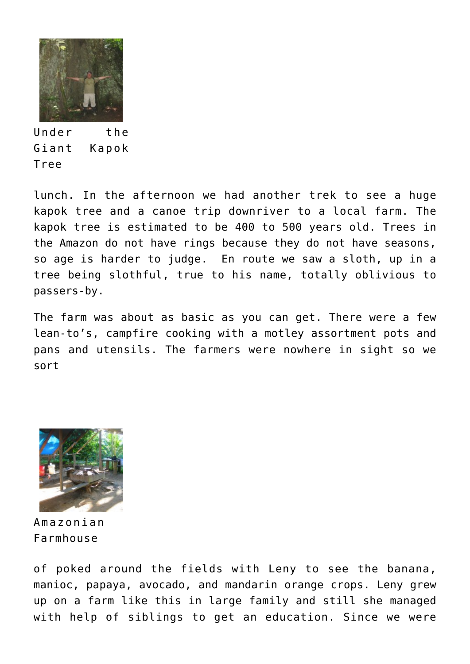

Under the Giant Kapok Tree

lunch. In the afternoon we had another trek to see a huge kapok tree and a canoe trip downriver to a local farm. The kapok tree is estimated to be 400 to 500 years old. Trees in the Amazon do not have rings because they do not have seasons, so age is harder to judge. En route we saw a sloth, up in a tree being slothful, true to his name, totally oblivious to passers-by.

The farm was about as basic as you can get. There were a few lean-to's, campfire cooking with a motley assortment pots and pans and utensils. The farmers were nowhere in sight so we sort



Amazonian Farmhouse

of poked around the fields with Leny to see the banana, manioc, papaya, avocado, and mandarin orange crops. Leny grew up on a farm like this in large family and still she managed with help of siblings to get an education. Since we were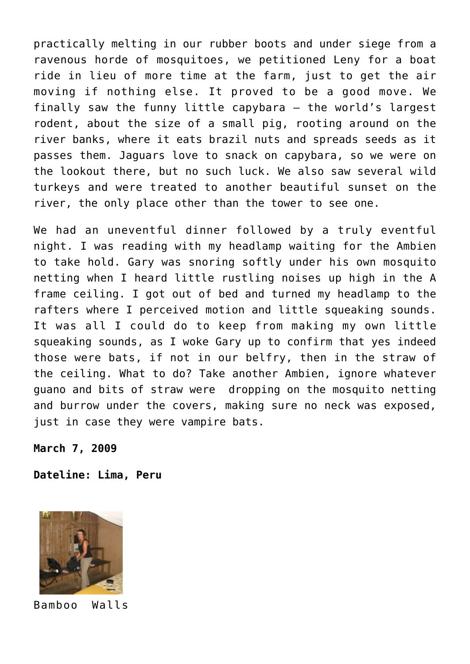practically melting in our rubber boots and under siege from a ravenous horde of mosquitoes, we petitioned Leny for a boat ride in lieu of more time at the farm, just to get the air moving if nothing else. It proved to be a good move. We finally saw the funny little capybara – the world's largest rodent, about the size of a small pig, rooting around on the river banks, where it eats brazil nuts and spreads seeds as it passes them. Jaguars love to snack on capybara, so we were on the lookout there, but no such luck. We also saw several wild turkeys and were treated to another beautiful sunset on the river, the only place other than the tower to see one.

We had an uneventful dinner followed by a truly eventful night. I was reading with my headlamp waiting for the Ambien to take hold. Gary was snoring softly under his own mosquito netting when I heard little rustling noises up high in the A frame ceiling. I got out of bed and turned my headlamp to the rafters where I perceived motion and little squeaking sounds. It was all I could do to keep from making my own little squeaking sounds, as I woke Gary up to confirm that yes indeed those were bats, if not in our belfry, then in the straw of the ceiling. What to do? Take another Ambien, ignore whatever guano and bits of straw were dropping on the mosquito netting and burrow under the covers, making sure no neck was exposed, just in case they were vampire bats.

**March 7, 2009**

**Dateline: Lima, Peru**



Bamboo Walls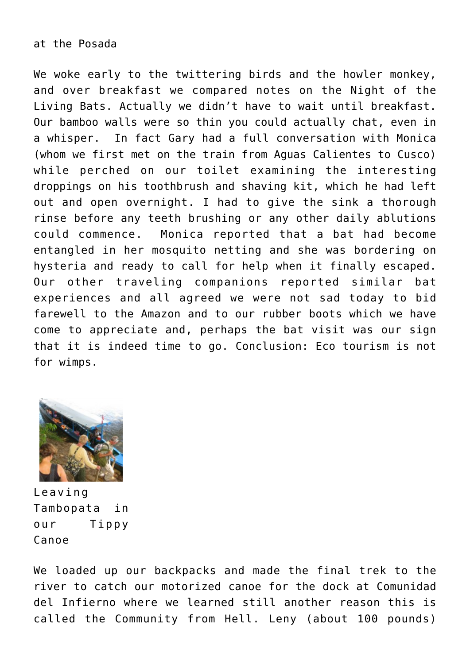### at the Posada

We woke early to the twittering birds and the howler monkey, and over breakfast we compared notes on the Night of the Living Bats. Actually we didn't have to wait until breakfast. Our bamboo walls were so thin you could actually chat, even in a whisper. In fact Gary had a full conversation with Monica (whom we first met on the train from Aguas Calientes to Cusco) while perched on our toilet examining the interesting droppings on his toothbrush and shaving kit, which he had left out and open overnight. I had to give the sink a thorough rinse before any teeth brushing or any other daily ablutions could commence. Monica reported that a bat had become entangled in her mosquito netting and she was bordering on hysteria and ready to call for help when it finally escaped. Our other traveling companions reported similar bat experiences and all agreed we were not sad today to bid farewell to the Amazon and to our rubber boots which we have come to appreciate and, perhaps the bat visit was our sign that it is indeed time to go. Conclusion: Eco tourism is not for wimps.



Leaving Tambopata in our Tippy Canoe

We loaded up our backpacks and made the final trek to the river to catch our motorized canoe for the dock at Comunidad del Infierno where we learned still another reason this is called the Community from Hell. Leny (about 100 pounds)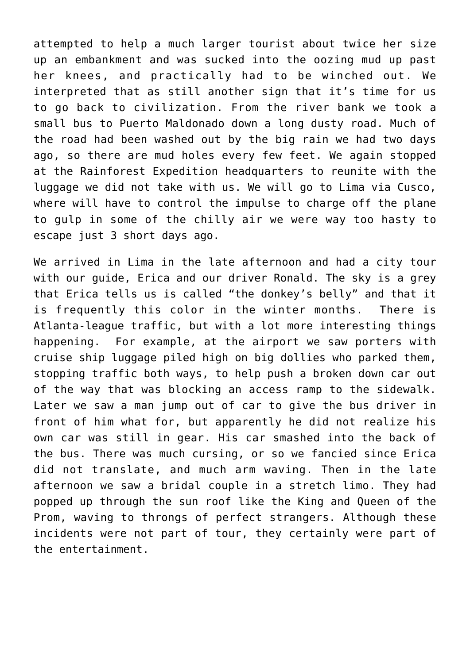attempted to help a much larger tourist about twice her size up an embankment and was sucked into the oozing mud up past her knees, and practically had to be winched out. We interpreted that as still another sign that it's time for us to go back to civilization. From the river bank we took a small bus to Puerto Maldonado down a long dusty road. Much of the road had been washed out by the big rain we had two days ago, so there are mud holes every few feet. We again stopped at the Rainforest Expedition headquarters to reunite with the luggage we did not take with us. We will go to Lima via Cusco, where will have to control the impulse to charge off the plane to gulp in some of the chilly air we were way too hasty to escape just 3 short days ago.

We arrived in Lima in the late afternoon and had a city tour with our guide, Erica and our driver Ronald. The sky is a grey that Erica tells us is called "the donkey's belly" and that it is frequently this color in the winter months. There is Atlanta-league traffic, but with a lot more interesting things happening. For example, at the airport we saw porters with cruise ship luggage piled high on big dollies who parked them, stopping traffic both ways, to help push a broken down car out of the way that was blocking an access ramp to the sidewalk. Later we saw a man jump out of car to give the bus driver in front of him what for, but apparently he did not realize his own car was still in gear. His car smashed into the back of the bus. There was much cursing, or so we fancied since Erica did not translate, and much arm waving. Then in the late afternoon we saw a bridal couple in a stretch limo. They had popped up through the sun roof like the King and Queen of the Prom, waving to throngs of perfect strangers. Although these incidents were not part of tour, they certainly were part of the entertainment.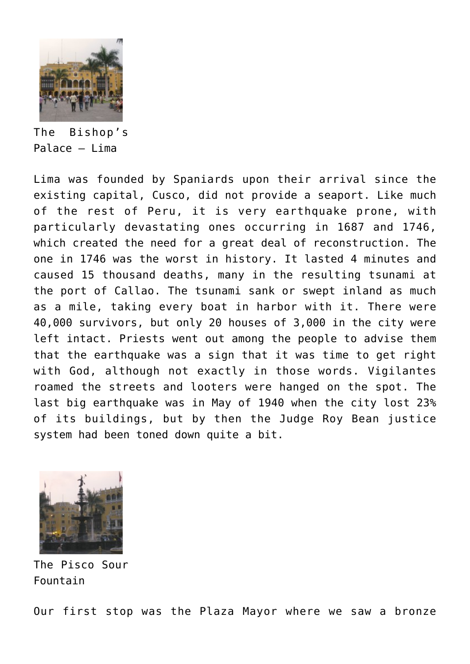

The Bishop's Palace – Lima

Lima was founded by Spaniards upon their arrival since the existing capital, Cusco, did not provide a seaport. Like much of the rest of Peru, it is very earthquake prone, with particularly devastating ones occurring in 1687 and 1746, which created the need for a great deal of reconstruction. The one in 1746 was the worst in history. It lasted 4 minutes and caused 15 thousand deaths, many in the resulting tsunami at the port of Callao. The tsunami sank or swept inland as much as a mile, taking every boat in harbor with it. There were 40,000 survivors, but only 20 houses of 3,000 in the city were left intact. Priests went out among the people to advise them that the earthquake was a sign that it was time to get right with God, although not exactly in those words. Vigilantes roamed the streets and looters were hanged on the spot. The last big earthquake was in May of 1940 when the city lost 23% of its buildings, but by then the Judge Roy Bean justice system had been toned down quite a bit.



The Pisco Sour Fountain

Our first stop was the Plaza Mayor where we saw a bronze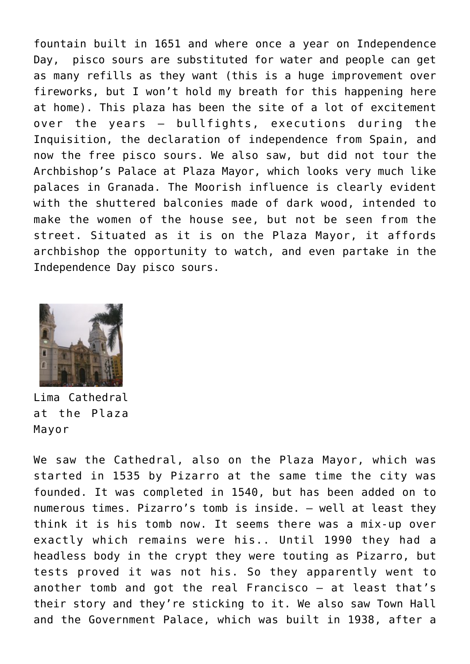fountain built in 1651 and where once a year on Independence Day, pisco sours are substituted for water and people can get as many refills as they want (this is a huge improvement over fireworks, but I won't hold my breath for this happening here at home). This plaza has been the site of a lot of excitement over the years – bullfights, executions during the Inquisition, the declaration of independence from Spain, and now the free pisco sours. We also saw, but did not tour the Archbishop's Palace at Plaza Mayor, which looks very much like palaces in Granada. The Moorish influence is clearly evident with the shuttered balconies made of dark wood, intended to make the women of the house see, but not be seen from the street. Situated as it is on the Plaza Mayor, it affords archbishop the opportunity to watch, and even partake in the Independence Day pisco sours.



Lima Cathedral at the Plaza Mayor

We saw the Cathedral, also on the Plaza Mayor, which was started in 1535 by Pizarro at the same time the city was founded. It was completed in 1540, but has been added on to numerous times. Pizarro's tomb is inside. – well at least they think it is his tomb now. It seems there was a mix-up over exactly which remains were his.. Until 1990 they had a headless body in the crypt they were touting as Pizarro, but tests proved it was not his. So they apparently went to another tomb and got the real Francisco – at least that's their story and they're sticking to it. We also saw Town Hall and the Government Palace, which was built in 1938, after a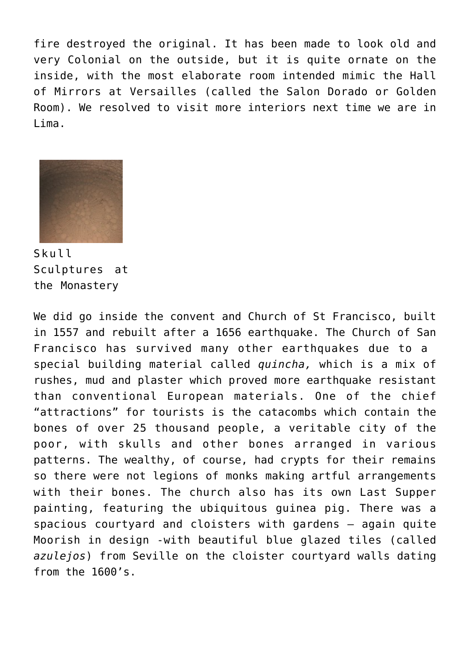fire destroyed the original. It has been made to look old and very Colonial on the outside, but it is quite ornate on the inside, with the most elaborate room intended mimic the Hall of Mirrors at Versailles (called the Salon Dorado or Golden Room). We resolved to visit more interiors next time we are in Lima.



Skull Sculptures at the Monastery

We did go inside the convent and Church of St Francisco, built in 1557 and rebuilt after a 1656 earthquake. The Church of San Francisco has survived many other earthquakes due to a special building material called *quincha,* which is a mix of rushes, mud and plaster which proved more earthquake resistant than conventional European materials. One of the chief "attractions" for tourists is the catacombs which contain the bones of over 25 thousand people, a veritable city of the poor, with skulls and other bones arranged in various patterns. The wealthy, of course, had crypts for their remains so there were not legions of monks making artful arrangements with their bones. The church also has its own Last Supper painting, featuring the ubiquitous guinea pig. There was a spacious courtyard and cloisters with gardens – again quite Moorish in design -with beautiful blue glazed tiles (called *azulejos*) from Seville on the cloister courtyard walls dating from the 1600's.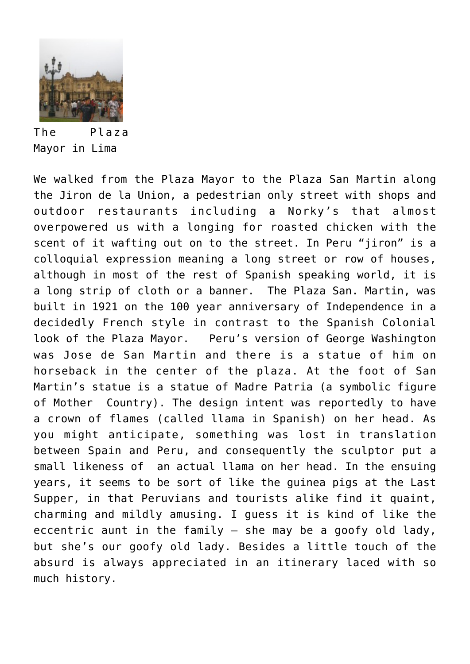

The Plaza Mayor in Lima

We walked from the Plaza Mayor to the Plaza San Martin along the Jiron de la Union, a pedestrian only street with shops and outdoor restaurants including a Norky's that almost overpowered us with a longing for roasted chicken with the scent of it wafting out on to the street. In Peru "jiron" is a colloquial expression meaning a long street or row of houses, although in most of the rest of Spanish speaking world, it is a long strip of cloth or a banner. The Plaza San. Martin, was built in 1921 on the 100 year anniversary of Independence in a decidedly French style in contrast to the Spanish Colonial look of the Plaza Mayor. Peru's version of George Washington was Jose de San Martin and there is a statue of him on horseback in the center of the plaza. At the foot of San Martin's statue is a statue of Madre Patria (a symbolic figure of Mother Country). The design intent was reportedly to have a crown of flames (called llama in Spanish) on her head. As you might anticipate, something was lost in translation between Spain and Peru, and consequently the sculptor put a small likeness of an actual llama on her head. In the ensuing years, it seems to be sort of like the guinea pigs at the Last Supper, in that Peruvians and tourists alike find it quaint, charming and mildly amusing. I guess it is kind of like the eccentric aunt in the family – she may be a goofy old lady, but she's our goofy old lady. Besides a little touch of the absurd is always appreciated in an itinerary laced with so much history.